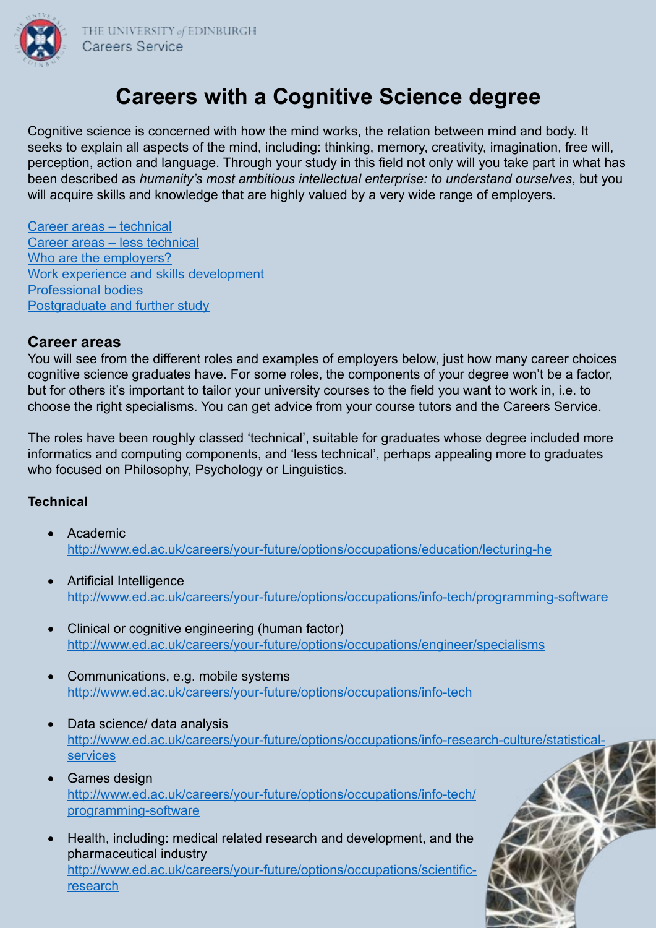

# **Careers with a Cognitive Science degree**

Cognitive science is concerned with how the mind works, the relation between mind and body. It seeks to explain all aspects of the mind, including: thinking, memory, creativity, imagination, free will, perception, action and language. Through your study in this field not only will you take part in what has been described as *humanity's most ambitious intellectual enterprise: to understand ourselves*, but you will acquire skills and knowledge that are highly valued by a very wide range of employers.

Career areas – technical Career areas – less technical Who are the employers? Work experience and skills development Professional bodies Postgraduate and further study

#### **Career areas**

You will see from the different roles and examples of employers below, just how many career choices cognitive science graduates have. For some roles, the components of your degree won't be a factor, but for others it's important to tailor your university courses to the field you want to work in, i.e. to choose the right specialisms. You can get advice from your course tutors and the Careers Service.

The roles have been roughly classed 'technical', suitable for graduates whose degree included more informatics and computing components, and 'less technical', perhaps appealing more to graduates who focused on Philosophy, Psychology or Linguistics.

#### **Technical**

- • Academic <http://www.ed.ac.uk/careers/your-future/options/occupations/education/lecturing-he>
- Artificial Intelligence <http://www.ed.ac.uk/careers/your-future/options/occupations/info-tech/programming-software>
- Clinical or cognitive engineering (human factor) <http://www.ed.ac.uk/careers/your-future/options/occupations/engineer/specialisms>
- • Communications, e.g. mobile systems <http://www.ed.ac.uk/careers/your-future/options/occupations/info-tech>
- Data science/ data analysis [http://www.ed.ac.uk/careers/your-future/options/occupations/info-research-culture/statistical](http://www.ed.ac.uk/careers/your-future/options/occupations/info-research-culture/statistical-services)[services](http://www.ed.ac.uk/careers/your-future/options/occupations/info-research-culture/statistical-services)
- • Games design [http://www.ed.ac.uk/careers/your-future/options/occupations/info-tech/](http://www.ed.ac.uk/careers/your-future/options/occupations/info-tech/programming-software) [programming-software](http://www.ed.ac.uk/careers/your-future/options/occupations/info-tech/programming-software)
- Health, including: medical related research and development, and the pharmaceutical industry [http://www.ed.ac.uk/careers/your-future/options/occupations/scientific](http://www.ed.ac.uk/careers/your-future/options/occupations/scientific-research)[research](http://www.ed.ac.uk/careers/your-future/options/occupations/scientific-research)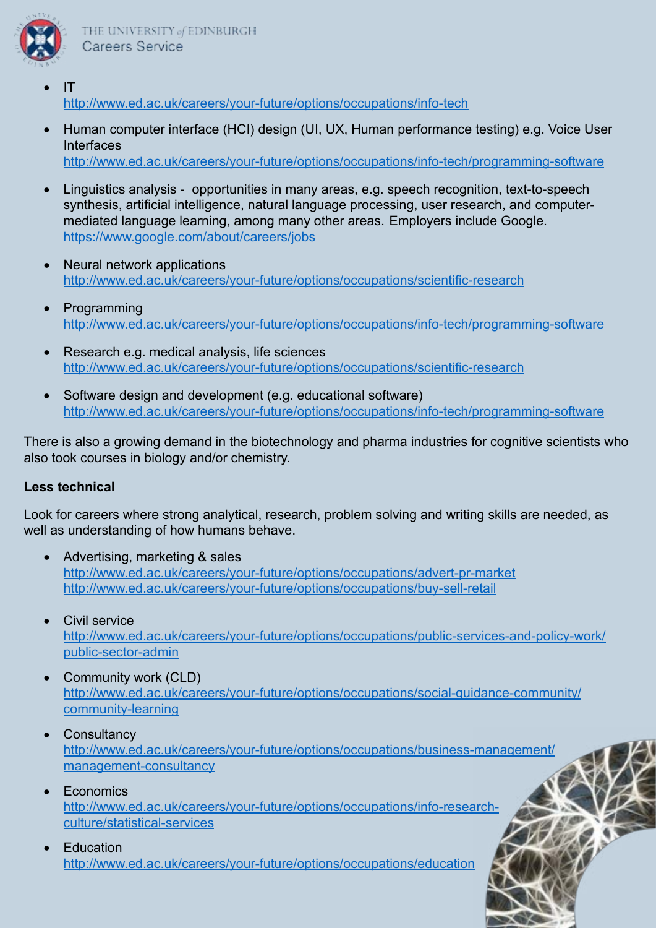

- $IT$ <http://www.ed.ac.uk/careers/your-future/options/occupations/info-tech>
- • Human computer interface (HCI) design (UI, UX, Human performance testing) e.g. Voice User Interfaces <http://www.ed.ac.uk/careers/your-future/options/occupations/info-tech/programming-software>
- Linguistics analysis opportunities in many areas, e.g. speech recognition, text-to-speech synthesis, artificial intelligence, natural language processing, user research, and computermediated language learning, among many other areas. Employers include Google. <https://www.google.com/about/careers/jobs>
- **Neural network applications** <http://www.ed.ac.uk/careers/your-future/options/occupations/scientific-research>
- • Programming <http://www.ed.ac.uk/careers/your-future/options/occupations/info-tech/programming-software>
- Research e.g. medical analysis, life sciences <http://www.ed.ac.uk/careers/your-future/options/occupations/scientific-research>
- Software design and development (e.g. educational software) <http://www.ed.ac.uk/careers/your-future/options/occupations/info-tech/programming-software>

There is also a growing demand in the biotechnology and pharma industries for cognitive scientists who also took courses in biology and/or chemistry.

### **Less technical**

Look for careers where strong analytical, research, problem solving and writing skills are needed, as well as understanding of how humans behave.

- Advertising, marketing & sales <http://www.ed.ac.uk/careers/your-future/options/occupations/advert-pr-market> <http://www.ed.ac.uk/careers/your-future/options/occupations/buy-sell-retail>
- **Civil service**

[http://www.ed.ac.uk/careers/your-future/options/occupations/public-services-and-policy-work/](http://www.ed.ac.uk/careers/your-future/options/occupations/public-services-and-policy-work/public-sector-admin) [public-sector-admin](http://www.ed.ac.uk/careers/your-future/options/occupations/public-services-and-policy-work/public-sector-admin)

- Community work (CLD) [http://www.ed.ac.uk/careers/your-future/options/occupations/social-guidance-community/](http://www.ed.ac.uk/careers/your-future/options/occupations/social-guidance-community/community-learning) [community-learning](http://www.ed.ac.uk/careers/your-future/options/occupations/social-guidance-community/community-learning)
	- **Consultancy**

[http://www.ed.ac.uk/careers/your-future/options/occupations/business-management/](http://www.ed.ac.uk/careers/your-future/options/occupations/business-management/management-consultancy) [management-consultancy](http://www.ed.ac.uk/careers/your-future/options/occupations/business-management/management-consultancy)

**F** conomics

[http://www.ed.ac.uk/careers/your-future/options/occupations/info-research](http://www.ed.ac.uk/careers/your-future/options/occupations/info-research-culture/statistical-services)[culture/statistical-services](http://www.ed.ac.uk/careers/your-future/options/occupations/info-research-culture/statistical-services)

**Education** <http://www.ed.ac.uk/careers/your-future/options/occupations/education>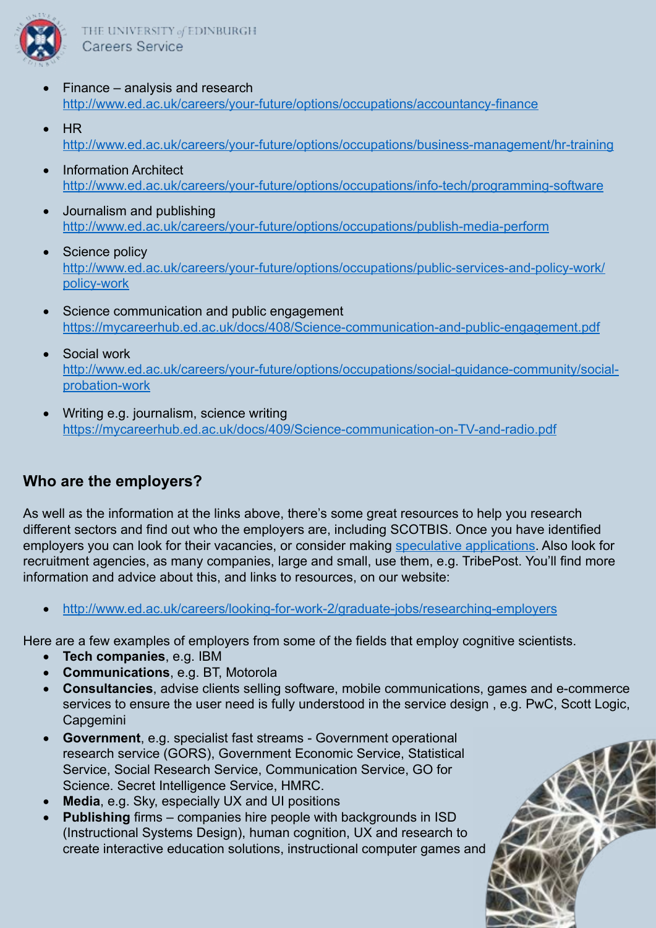

- $F$ inance analysis and research <http://www.ed.ac.uk/careers/your-future/options/occupations/accountancy-finance>
- • HR <http://www.ed.ac.uk/careers/your-future/options/occupations/business-management/hr-training>
- **Information Architect** <http://www.ed.ac.uk/careers/your-future/options/occupations/info-tech/programming-software>
- Journalism and publishing <http://www.ed.ac.uk/careers/your-future/options/occupations/publish-media-perform>
- Science policy [http://www.ed.ac.uk/careers/your-future/options/occupations/public-services-and-policy-work/](http://www.ed.ac.uk/careers/your-future/options/occupations/public-services-and-policy-work/policy-work) [policy-work](http://www.ed.ac.uk/careers/your-future/options/occupations/public-services-and-policy-work/policy-work)
- Science communication and public engagement <https://mycareerhub.ed.ac.uk/docs/408/Science-communication-and-public-engagement.pdf>
- **Social work** [http://www.ed.ac.uk/careers/your-future/options/occupations/social-guidance-community/social](http://www.ed.ac.uk/careers/your-future/options/occupations/social-guidance-community/social-probation-work)[probation-work](http://www.ed.ac.uk/careers/your-future/options/occupations/social-guidance-community/social-probation-work)
- Writing e.g. journalism, science writing <https://mycareerhub.ed.ac.uk/docs/409/Science-communication-on-TV-and-radio.pdf>

# **Who are the employers?**

As well as the information at the links above, there's some great resources to help you research different sectors and find out who the employers are, including SCOTBIS. Once you have identified employers you can look for their vacancies, or consider making [speculative applications.](http://www.ed.ac.uk/careers/looking-for-work/graduate-jobs/finding-unadvertised) Also look for recruitment agencies, as many companies, large and small, use them, e.g. TribePost. You'll find more information and advice about this, and links to resources, on our website:

<http://www.ed.ac.uk/careers/looking-for-work-2/graduate-jobs/researching-employers>

Here are a few examples of employers from some of the fields that employ cognitive scientists.

- • **Tech companies**, e.g. IBM
- • **Communications**, e.g. BT, Motorola
- • **Consultancies**, advise clients selling software, mobile communications, games and e-commerce services to ensure the user need is fully understood in the service design , e.g. PwC, Scott Logic, **Capgemini**
- • **Government**, e.g. specialist fast streams Government operational research service (GORS), Government Economic Service, Statistical Service, Social Research Service, Communication Service, GO for Science. Secret Intelligence Service, HMRC.
- **Media**, e.g. Sky, especially UX and UI positions
- **Publishing** firms companies hire people with backgrounds in ISD (Instructional Systems Design), human cognition, UX and research to create interactive education solutions, instructional computer games and

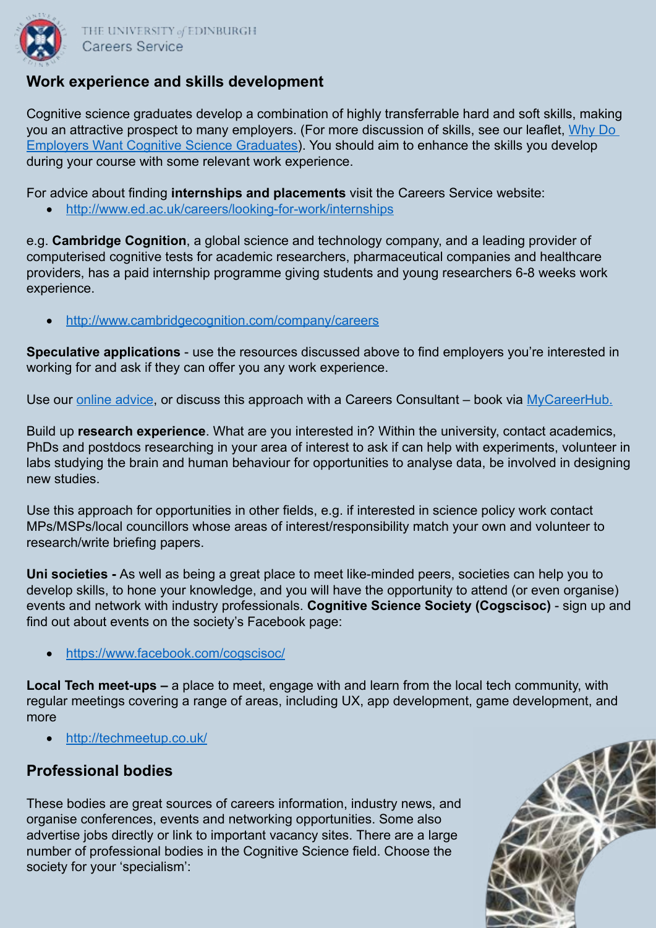

## **Work experience and skills development**

Cognitive science graduates develop a combination of highly transferrable hard and soft skills, making you an attractive prospect to many employers. (For more discussion of skills, see our leaflet, [Why Do](https://mycareerhub.ed.ac.uk/docs/667/Why-do-employers-want-cognitive-science-graduates.pdf)  [Employers Want Cognitive Science Graduates](https://mycareerhub.ed.ac.uk/docs/667/Why-do-employers-want-cognitive-science-graduates.pdf)). You should aim to enhance the skills you develop during your course with some relevant work experience.

For advice about finding **internships and placements** visit the Careers Service website:

• <http://www.ed.ac.uk/careers/looking-for-work/internships>

e.g. **Cambridge Cognition**, a global science and technology company, and a leading provider of computerised cognitive tests for academic researchers, pharmaceutical companies and healthcare providers, has a paid internship programme giving students and young researchers 6-8 weeks work experience.

• <http://www.cambridgecognition.com/company/careers>

**Speculative applications** - use the resources discussed above to find employers you're interested in working for and ask if they can offer you any work experience.

Use our [online advice](http://www.ed.ac.uk/careers/looking-for-work/graduate-jobs/finding-unadvertised), or discuss this approach with a Careers Consultant – book via [MyCareerHub.](https://mycareerhub.ed.ac.uk)

Build up **research experience**. What are you interested in? Within the university, contact academics, PhDs and postdocs researching in your area of interest to ask if can help with experiments, volunteer in labs studying the brain and human behaviour for opportunities to analyse data, be involved in designing new studies.

Use this approach for opportunities in other fields, e.g. if interested in science policy work contact MPs/MSPs/local councillors whose areas of interest/responsibility match your own and volunteer to research/write briefing papers.

**Uni societies -** As well as being a great place to meet like-minded peers, societies can help you to develop skills, to hone your knowledge, and you will have the opportunity to attend (or even organise) events and network with industry professionals. **Cognitive Science Society (Cogscisoc)** - sign up and find out about events on the society's Facebook page:

• <https://www.facebook.com/cogscisoc/>

**Local Tech meet-ups –** a place to meet, engage with and learn from the local tech community, with regular meetings covering a range of areas, including UX, app development, game development, and more

• <http://techmeetup.co.uk/>

### **Professional bodies**

These bodies are great sources of careers information, industry news, and organise conferences, events and networking opportunities. Some also advertise jobs directly or link to important vacancy sites. There are a large number of professional bodies in the Cognitive Science field. Choose the society for your 'specialism':

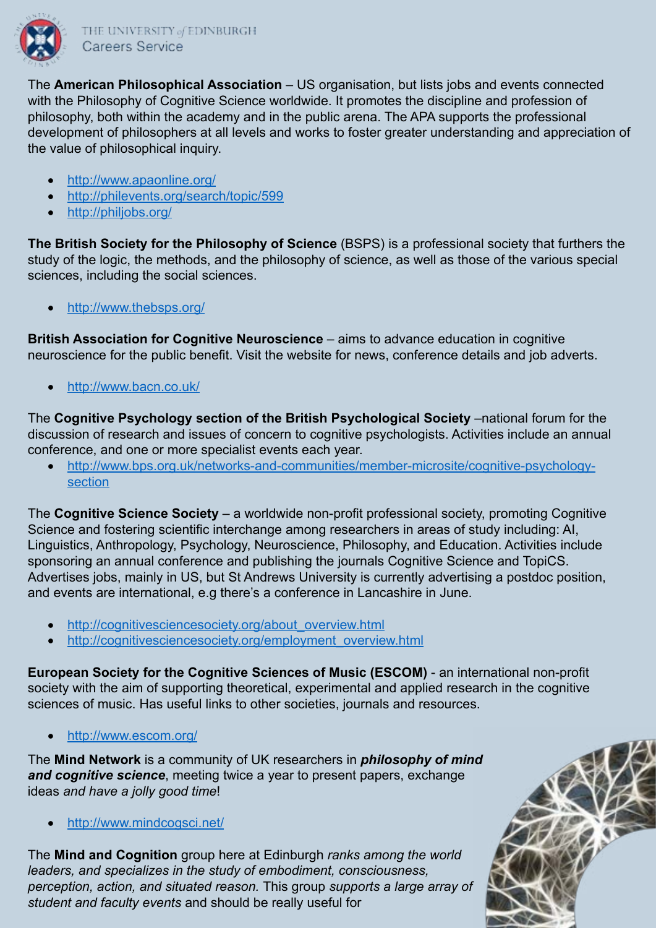

The **American Philosophical Association** – US organisation, but lists jobs and events connected with the Philosophy of Cognitive Science worldwide. It promotes the discipline and profession of philosophy, both within the academy and in the public arena. The APA supports the professional development of philosophers at all levels and works to foster greater understanding and appreciation of the value of philosophical inquiry.

- <http://www.apaonline.org/>
- <http://philevents.org/search/topic/599>
- <http://philjobs.org/>

**The British Society for the Philosophy of Science** (BSPS) is a professional society that furthers the study of the logic, the methods, and the philosophy of science, as well as those of the various special sciences, including the social sciences.

<http://www.thebsps.org/>

**British Association for Cognitive Neuroscience** – aims to advance education in cognitive neuroscience for the public benefit. Visit the website for news, conference details and job adverts.

• <http://www.bacn.co.uk/>

The **Cognitive Psychology section of the British Psychological Society** –national forum for the discussion of research and issues of concern to cognitive psychologists. Activities include an annual conference, and one or more specialist events each year.

• [http://www.bps.org.uk/networks-and-communities/member-microsite/cognitive-psychology](http://www.bps.org.uk/networks-and-communities/member-microsite/cognitive-psychology-section)[section](http://www.bps.org.uk/networks-and-communities/member-microsite/cognitive-psychology-section)

The **Cognitive Science Society** – a worldwide non-profit professional society, promoting Cognitive Science and fostering scientific interchange among researchers in areas of study including: AI, Linguistics, Anthropology, Psychology, Neuroscience, Philosophy, and Education. Activities include sponsoring an annual conference and publishing the journals Cognitive Science and TopiCS. Advertises jobs, mainly in US, but St Andrews University is currently advertising a postdoc position, and events are international, e.g there's a conference in Lancashire in June.

- [http://cognitivesciencesociety.org/about\\_overview.html](http://cognitivesciencesociety.org/about_overview.html)
- [http://cognitivesciencesociety.org/employment\\_overview.html](http://cognitivesciencesociety.org/employment_overview.html)

**European Society for the Cognitive Sciences of Music (ESCOM)** - an international non-profit society with the aim of supporting theoretical, experimental and applied research in the cognitive sciences of music. Has useful links to other societies, journals and resources.

• <http://www.escom.org/>

The **Mind Network** is a community of UK researchers in *philosophy of mind and cognitive science*, meeting twice a year to present papers, exchange ideas *and have a jolly good time*!

<http://www.mindcogsci.net/>

The **Mind and Cognition** group here at Edinburgh *ranks among the world leaders, and specializes in the study of embodiment, consciousness, perception, action, and situated reason.* This group *supports a large array of student and faculty events* and should be really useful for

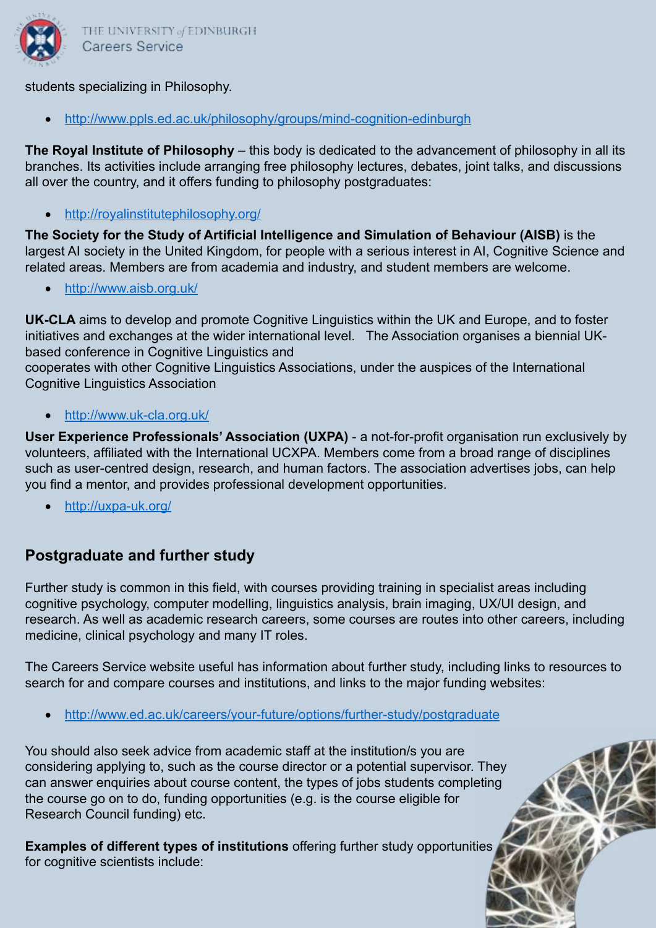

THE UNIVERSITY of EDINBURGH Careers Service

#### students specializing in Philosophy.

<http://www.ppls.ed.ac.uk/philosophy/groups/mind-cognition-edinburgh>

**The Royal Institute of Philosophy** – this body is dedicated to the advancement of philosophy in all its branches. Its activities include arranging free philosophy lectures, debates, joint talks, and discussions all over the country, and it offers funding to philosophy postgraduates:

• <http://royalinstitutephilosophy.org/>

**The Society for the Study of Artificial Intelligence and Simulation of Behaviour (AISB)** is the largest AI society in the United Kingdom, for people with a serious interest in AI, Cognitive Science and related areas. Members are from academia and industry, and student members are welcome.

• <http://www.aisb.org.uk/>

**UK-CLA** aims to develop and promote Cognitive Linguistics within the UK and Europe, and to foster initiatives and exchanges at the wider international level. The Association organises a biennial UKbased conference in Cognitive Linguistics and

cooperates with other Cognitive Linguistics Associations, under the auspices of the International Cognitive Linguistics Association

• <http://www.uk-cla.org.uk/>

**User Experience Professionals' Association (UXPA)** - a not-for-profit organisation run exclusively by volunteers, affiliated with the International UCXPA. Members come from a broad range of disciplines such as user-centred design, research, and human factors. The association advertises jobs, can help you find a mentor, and provides professional development opportunities.

• <http://uxpa-uk.org/>

# **Postgraduate and further study**

Further study is common in this field, with courses providing training in specialist areas including cognitive psychology, computer modelling, linguistics analysis, brain imaging, UX/UI design, and research. As well as academic research careers, some courses are routes into other careers, including medicine, clinical psychology and many IT roles.

The Careers Service website useful has information about further study, including links to resources to search for and compare courses and institutions, and links to the major funding websites:

<http://www.ed.ac.uk/careers/your-future/options/further-study/postgraduate>

You should also seek advice from academic staff at the institution/s you are considering applying to, such as the course director or a potential supervisor. They can answer enquiries about course content, the types of jobs students completing the course go on to do, funding opportunities (e.g. is the course eligible for Research Council funding) etc.

**Examples of different types of institutions** offering further study opportunities for cognitive scientists include: